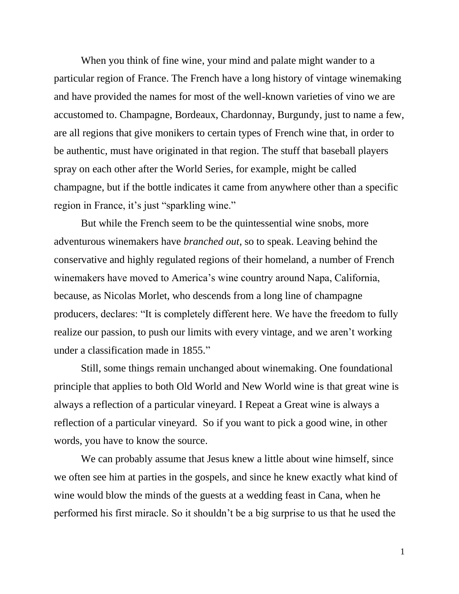When you think of fine wine, your mind and palate might wander to a particular region of France. The French have a long history of vintage winemaking and have provided the names for most of the well-known varieties of vino we are accustomed to. Champagne, Bordeaux, Chardonnay, Burgundy, just to name a few, are all regions that give monikers to certain types of French wine that, in order to be authentic, must have originated in that region. The stuff that baseball players spray on each other after the World Series, for example, might be called champagne, but if the bottle indicates it came from anywhere other than a specific region in France, it's just "sparkling wine."

But while the French seem to be the quintessential wine snobs, more adventurous winemakers have *branched out*, so to speak. Leaving behind the conservative and highly regulated regions of their homeland, a number of French winemakers have moved to America's wine country around Napa, California, because, as Nicolas Morlet, who descends from a long line of champagne producers, declares: "It is completely different here. We have the freedom to fully realize our passion, to push our limits with every vintage, and we aren't working under a classification made in 1855."

Still, some things remain unchanged about winemaking. One foundational principle that applies to both Old World and New World wine is that great wine is always a reflection of a particular vineyard. I Repeat a Great wine is always a reflection of a particular vineyard. So if you want to pick a good wine, in other words, you have to know the source.

We can probably assume that Jesus knew a little about wine himself, since we often see him at parties in the gospels, and since he knew exactly what kind of wine would blow the minds of the guests at a wedding feast in Cana, when he performed his first miracle. So it shouldn't be a big surprise to us that he used the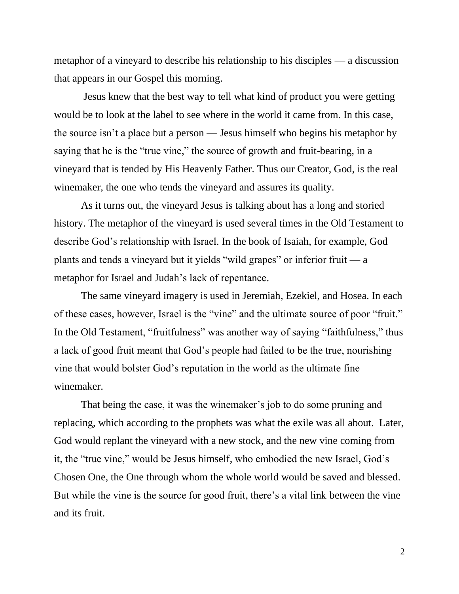metaphor of a vineyard to describe his relationship to his disciples — a discussion that appears in our Gospel this morning.

Jesus knew that the best way to tell what kind of product you were getting would be to look at the label to see where in the world it came from. In this case, the source isn't a place but a person — Jesus himself who begins his metaphor by saying that he is the "true vine," the source of growth and fruit-bearing, in a vineyard that is tended by His Heavenly Father. Thus our Creator, God, is the real winemaker, the one who tends the vineyard and assures its quality.

As it turns out, the vineyard Jesus is talking about has a long and storied history. The metaphor of the vineyard is used several times in the Old Testament to describe God's relationship with Israel. In the book of Isaiah, for example, God plants and tends a vineyard but it yields "wild grapes" or inferior fruit — a metaphor for Israel and Judah's lack of repentance.

The same vineyard imagery is used in Jeremiah, Ezekiel, and Hosea. In each of these cases, however, Israel is the "vine" and the ultimate source of poor "fruit." In the Old Testament, "fruitfulness" was another way of saying "faithfulness," thus a lack of good fruit meant that God's people had failed to be the true, nourishing vine that would bolster God's reputation in the world as the ultimate fine winemaker.

That being the case, it was the winemaker's job to do some pruning and replacing, which according to the prophets was what the exile was all about. Later, God would replant the vineyard with a new stock, and the new vine coming from it, the "true vine," would be Jesus himself, who embodied the new Israel, God's Chosen One, the One through whom the whole world would be saved and blessed. But while the vine is the source for good fruit, there's a vital link between the vine and its fruit.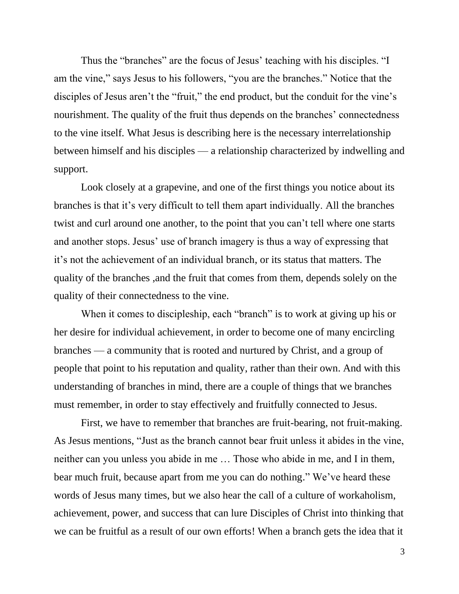Thus the "branches" are the focus of Jesus' teaching with his disciples. "I am the vine," says Jesus to his followers, "you are the branches." Notice that the disciples of Jesus aren't the "fruit," the end product, but the conduit for the vine's nourishment. The quality of the fruit thus depends on the branches' connectedness to the vine itself*.* What Jesus is describing here is the necessary interrelationship between himself and his disciples — a relationship characterized by indwelling and support.

Look closely at a grapevine, and one of the first things you notice about its branches is that it's very difficult to tell them apart individually. All the branches twist and curl around one another, to the point that you can't tell where one starts and another stops. Jesus' use of branch imagery is thus a way of expressing that it's not the achievement of an individual branch, or its status that matters. The quality of the branches ,and the fruit that comes from them, depends solely on the quality of their connectedness to the vine.

When it comes to discipleship, each "branch" is to work at giving up his or her desire for individual achievement, in order to become one of many encircling branches — a community that is rooted and nurtured by Christ, and a group of people that point to his reputation and quality, rather than their own. And with this understanding of branches in mind, there are a couple of things that we branches must remember, in order to stay effectively and fruitfully connected to Jesus.

First, we have to remember that branches are fruit-bearing, not fruit-making. As Jesus mentions, "Just as the branch cannot bear fruit unless it abides in the vine, neither can you unless you abide in me … Those who abide in me, and I in them, bear much fruit, because apart from me you can do nothing." We've heard these words of Jesus many times, but we also hear the call of a culture of workaholism, achievement, power, and success that can lure Disciples of Christ into thinking that we can be fruitful as a result of our own efforts! When a branch gets the idea that it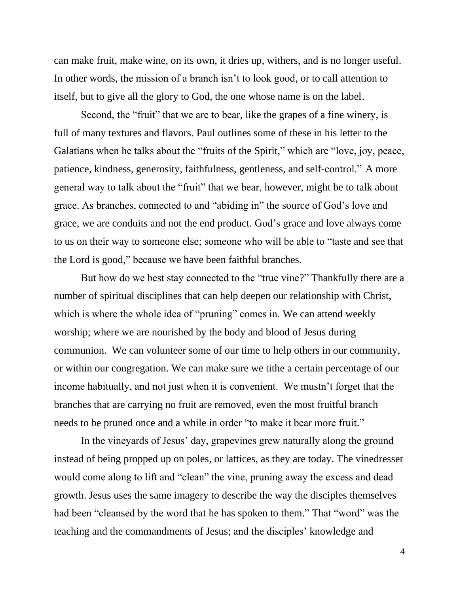can make fruit, make wine, on its own, it dries up, withers, and is no longer useful. In other words, the mission of a branch isn't to look good, or to call attention to itself, but to give all the glory to God, the one whose name is on the label.

Second, the "fruit" that we are to bear, like the grapes of a fine winery, is full of many textures and flavors. Paul outlines some of these in his letter to the Galatians when he talks about the "fruits of the Spirit," which are "love, joy, peace, patience, kindness, generosity, faithfulness, gentleness, and self-control." A more general way to talk about the "fruit" that we bear, however, might be to talk about grace. As branches, connected to and "abiding in" the source of God's love and grace, we are conduits and not the end product. God's grace and love always come to us on their way to someone else; someone who will be able to "taste and see that the Lord is good," because we have been faithful branches.

But how do we best stay connected to the "true vine?" Thankfully there are a number of spiritual disciplines that can help deepen our relationship with Christ, which is where the whole idea of "pruning" comes in. We can attend weekly worship; where we are nourished by the body and blood of Jesus during communion. We can volunteer some of our time to help others in our community, or within our congregation. We can make sure we tithe a certain percentage of our income habitually, and not just when it is convenient. We mustn't forget that the branches that are carrying no fruit are removed, even the most fruitful branch needs to be pruned once and a while in order "to make it bear more fruit."

In the vineyards of Jesus' day, grapevines grew naturally along the ground instead of being propped up on poles, or lattices, as they are today. The vinedresser would come along to lift and "clean" the vine, pruning away the excess and dead growth. Jesus uses the same imagery to describe the way the disciples themselves had been "cleansed by the word that he has spoken to them." That "word" was the teaching and the commandments of Jesus; and the disciples' knowledge and

4